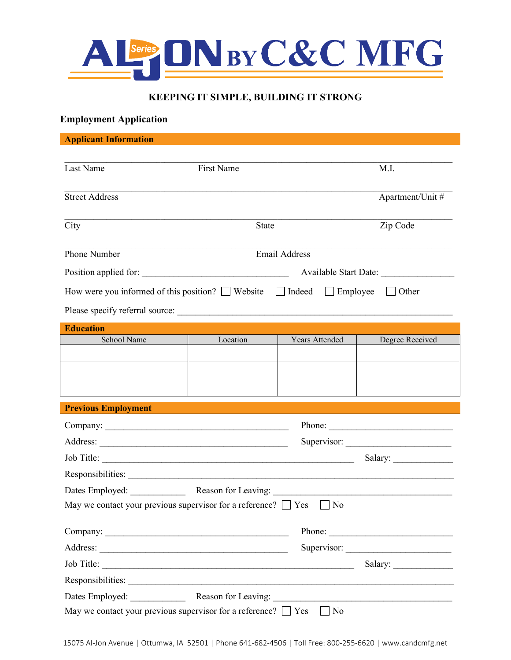

## **KEEPING IT SIMPLE, BUILDING IT STRONG**

## **Employment Application**

| <b>Applicant Information</b>                                                              |                       |                |                                                                                                                                                                                                                                                                                                                                                                                                                                                   |  |  |
|-------------------------------------------------------------------------------------------|-----------------------|----------------|---------------------------------------------------------------------------------------------------------------------------------------------------------------------------------------------------------------------------------------------------------------------------------------------------------------------------------------------------------------------------------------------------------------------------------------------------|--|--|
|                                                                                           |                       |                |                                                                                                                                                                                                                                                                                                                                                                                                                                                   |  |  |
| Last Name                                                                                 | First Name            |                | M.I.                                                                                                                                                                                                                                                                                                                                                                                                                                              |  |  |
| <b>Street Address</b>                                                                     |                       |                | Apartment/Unit #                                                                                                                                                                                                                                                                                                                                                                                                                                  |  |  |
|                                                                                           |                       |                |                                                                                                                                                                                                                                                                                                                                                                                                                                                   |  |  |
| City                                                                                      | <b>State</b>          | Zip Code       |                                                                                                                                                                                                                                                                                                                                                                                                                                                   |  |  |
| Phone Number                                                                              | <b>Email Address</b>  |                |                                                                                                                                                                                                                                                                                                                                                                                                                                                   |  |  |
|                                                                                           | Available Start Date: |                |                                                                                                                                                                                                                                                                                                                                                                                                                                                   |  |  |
| Indeed Employee<br>How were you informed of this position? $\Box$ Website<br>$\Box$ Other |                       |                |                                                                                                                                                                                                                                                                                                                                                                                                                                                   |  |  |
|                                                                                           |                       |                |                                                                                                                                                                                                                                                                                                                                                                                                                                                   |  |  |
| <b>Education</b>                                                                          |                       |                |                                                                                                                                                                                                                                                                                                                                                                                                                                                   |  |  |
| School Name                                                                               | Location              | Years Attended | Degree Received                                                                                                                                                                                                                                                                                                                                                                                                                                   |  |  |
|                                                                                           |                       |                |                                                                                                                                                                                                                                                                                                                                                                                                                                                   |  |  |
|                                                                                           |                       |                |                                                                                                                                                                                                                                                                                                                                                                                                                                                   |  |  |
|                                                                                           |                       |                |                                                                                                                                                                                                                                                                                                                                                                                                                                                   |  |  |
| <b>Previous Employment</b>                                                                |                       |                |                                                                                                                                                                                                                                                                                                                                                                                                                                                   |  |  |
|                                                                                           |                       |                |                                                                                                                                                                                                                                                                                                                                                                                                                                                   |  |  |
|                                                                                           |                       |                |                                                                                                                                                                                                                                                                                                                                                                                                                                                   |  |  |
|                                                                                           |                       |                |                                                                                                                                                                                                                                                                                                                                                                                                                                                   |  |  |
| Responsibilities:                                                                         |                       |                |                                                                                                                                                                                                                                                                                                                                                                                                                                                   |  |  |
| Dates Employed:                                                                           |                       |                |                                                                                                                                                                                                                                                                                                                                                                                                                                                   |  |  |
| May we contact your previous supervisor for a reference? $\Box$ Yes                       |                       | $ $ No         |                                                                                                                                                                                                                                                                                                                                                                                                                                                   |  |  |
|                                                                                           |                       |                | Phone: $\frac{1}{\sqrt{1-\frac{1}{2}} \cdot \frac{1}{2} \cdot \frac{1}{2} \cdot \frac{1}{2} \cdot \frac{1}{2} \cdot \frac{1}{2} \cdot \frac{1}{2} \cdot \frac{1}{2} \cdot \frac{1}{2} \cdot \frac{1}{2} \cdot \frac{1}{2} \cdot \frac{1}{2} \cdot \frac{1}{2} \cdot \frac{1}{2} \cdot \frac{1}{2} \cdot \frac{1}{2} \cdot \frac{1}{2} \cdot \frac{1}{2} \cdot \frac{1}{2} \cdot \frac{1}{2} \cdot \frac{1}{2} \cdot \frac{1}{2} \cdot \frac{1}{2$ |  |  |
|                                                                                           |                       |                |                                                                                                                                                                                                                                                                                                                                                                                                                                                   |  |  |
|                                                                                           |                       |                | Salary:                                                                                                                                                                                                                                                                                                                                                                                                                                           |  |  |
|                                                                                           |                       |                |                                                                                                                                                                                                                                                                                                                                                                                                                                                   |  |  |
| Dates Employed: Reason for Leaving: 2008. Contact States Employed:                        |                       |                |                                                                                                                                                                                                                                                                                                                                                                                                                                                   |  |  |
| May we contact your previous supervisor for a reference? $\Box$ Yes $\Box$ No             |                       |                |                                                                                                                                                                                                                                                                                                                                                                                                                                                   |  |  |